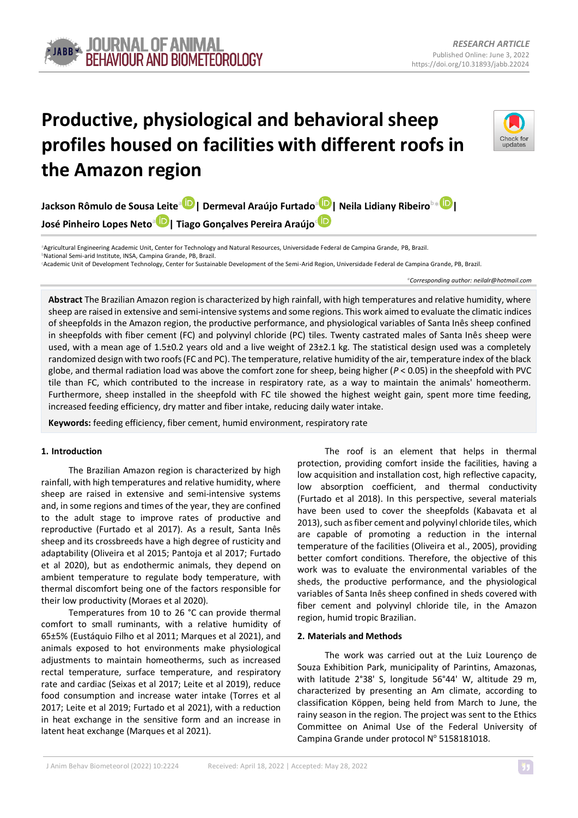# **Productive, physiological and behavioral sheep profiles housed on facilities with different roofs in the Amazon region**



**Jackson Rômulo de Sousa Leite[a](https://orcid.org/0000-0001-5482-7220) | Dermeval Araújo Furtado<sup>a</sup> [|](https://orcid.org/0000-0003-4511-571X) Neila Lidiany Ribeiro<sup>b</sup>\* | José Pinheiro Lopes Neto[a](https://orcid.org/0000-0003-4960-5679) | Tiago Gonçalves Pereira Araújo[c](https://orcid.org/0000-0002-9383-560X)**

**<sup>a</sup>**Agricultural Engineering Academic Unit, Center for Technology and Natural Resources, Universidade Federal de Campina Grande, PB, Brazil. **<sup>b</sup>**National Semi-arid Institute, INSA, Campina Grande, PB, Brazil.

**<sup>c</sup>**Academic Unit of Development Technology, Center for Sustainable Development of the Semi-Arid Region, Universidade Federal de Campina Grande, PB, Brazil.

*\*Corresponding author: <neilalr@hotmail.com>*

**Abstract** The Brazilian Amazon region is characterized by high rainfall, with high temperatures and relative humidity, where sheep are raised in extensive and semi-intensive systems and some regions. This work aimed to evaluate the climatic indices of sheepfolds in the Amazon region, the productive performance, and physiological variables of Santa Inês sheep confined in sheepfolds with fiber cement (FC) and polyvinyl chloride (PC) tiles. Twenty castrated males of Santa Inês sheep were used, with a mean age of 1.5±0.2 years old and a live weight of 23±2.1 kg. The statistical design used was a completely randomized design with two roofs (FC and PC). The temperature, relative humidity of the air, temperature index of the black globe, and thermal radiation load was above the comfort zone for sheep, being higher (*P* < 0.05) in the sheepfold with PVC tile than FC, which contributed to the increase in respiratory rate, as a way to maintain the animals' homeotherm. Furthermore, sheep installed in the sheepfold with FC tile showed the highest weight gain, spent more time feeding, increased feeding efficiency, dry matter and fiber intake, reducing daily water intake.

**Keywords:** feeding efficiency, fiber cement, humid environment, respiratory rate

## **1. Introduction**

The Brazilian Amazon region is characterized by high rainfall, with high temperatures and relative humidity, where sheep are raised in extensive and semi-intensive systems and, in some regions and times of the year, they are confined to the adult stage to improve rates of productive and reproductive (Furtado et al 2017). As a result, Santa Inês sheep and its crossbreeds have a high degree of rusticity and adaptability (Oliveira et al 2015; Pantoja et al 2017; Furtado et al 2020), but as endothermic animals, they depend on ambient temperature to regulate body temperature, with thermal discomfort being one of the factors responsible for their low productivity (Moraes et al 2020).

Temperatures from 10 to 26 °C can provide thermal comfort to small ruminants, with a relative humidity of 65±5% (Eustáquio Filho et al 2011; Marques et al 2021), and animals exposed to hot environments make physiological adjustments to maintain homeotherms, such as increased rectal temperature, surface temperature, and respiratory rate and cardiac (Seixas et al 2017; Leite et al 2019), reduce food consumption and increase water intake (Torres et al 2017; Leite et al 2019; Furtado et al 2021), with a reduction in heat exchange in the sensitive form and an increase in latent heat exchange (Marques et al 2021).

The roof is an element that helps in thermal protection, providing comfort inside the facilities, having a low acquisition and installation cost, high reflective capacity, low absorption coefficient, and thermal conductivity (Furtado et al 2018). In this perspective, several materials have been used to cover the sheepfolds (Kabavata et al 2013), such as fiber cement and polyvinyl chloride tiles, which are capable of promoting a reduction in the internal temperature of the facilities (Oliveira et al., 2005), providing better comfort conditions. Therefore, the objective of this work was to evaluate the environmental variables of the sheds, the productive performance, and the physiological variables of Santa Inês sheep confined in sheds covered with fiber cement and polyvinyl chloride tile, in the Amazon region, humid tropic Brazilian.

### **2. Materials and Methods**

The work was carried out at the Luiz Lourenço de Souza Exhibition Park, municipality of Parintins, Amazonas, with latitude 2°38' S, longitude 56°44' W, altitude 29 m, characterized by presenting an Am climate, according to classification Köppen, being held from March to June, the rainy season in the region. The project was sent to the Ethics Committee on Animal Use of the Federal University of Campina Grande under protocol Nº 5158181018.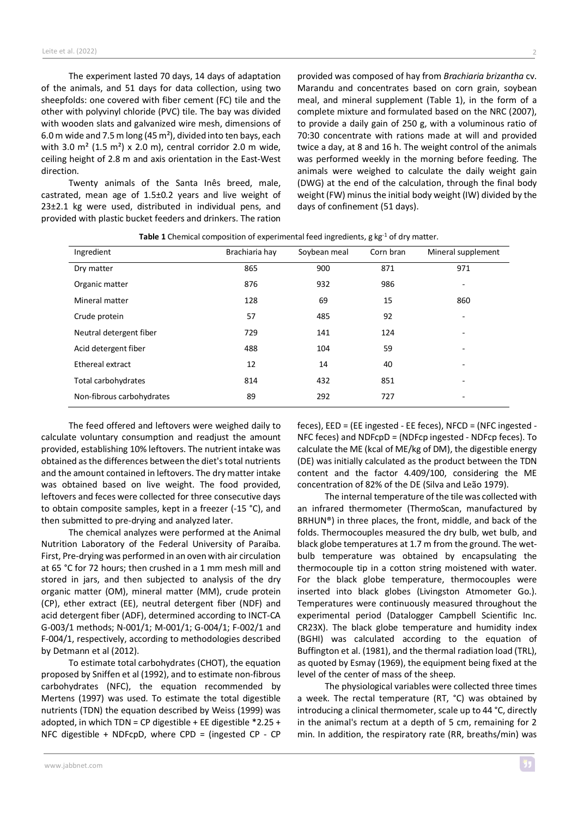The experiment lasted 70 days, 14 days of adaptation of the animals, and 51 days for data collection, using two sheepfolds: one covered with fiber cement (FC) tile and the other with polyvinyl chloride (PVC) tile. The bay was divided with wooden slats and galvanized wire mesh, dimensions of 6.0 m wide and 7.5 m long (45 m²), divided into ten bays, each with 3.0  $m^2$  (1.5 m<sup>2</sup>) x 2.0 m), central corridor 2.0 m wide, ceiling height of 2.8 m and axis orientation in the East-West direction.

Twenty animals of the Santa Inês breed, male, castrated, mean age of 1.5±0.2 years and live weight of 23±2.1 kg were used, distributed in individual pens, and provided with plastic bucket feeders and drinkers. The ration

provided was composed of hay from *Brachiaria brizantha* cv. Marandu and concentrates based on corn grain, soybean meal, and mineral supplement (Table 1), in the form of a complete mixture and formulated based on the NRC (2007), to provide a daily gain of 250 g, with a voluminous ratio of 70:30 concentrate with rations made at will and provided twice a day, at 8 and 16 h. The weight control of the animals was performed weekly in the morning before feeding. The animals were weighed to calculate the daily weight gain (DWG) at the end of the calculation, through the final body weight(FW) minus the initial body weight (IW) divided by the days of confinement (51 days).

| Ingredient                | Brachiaria hay | Soybean meal | Corn bran | Mineral supplement |
|---------------------------|----------------|--------------|-----------|--------------------|
| Dry matter                | 865            | 900          | 871       | 971                |
| Organic matter            | 876            | 932          | 986       | ٠                  |
| Mineral matter            | 128            | 69           | 15        | 860                |
| Crude protein             | 57             | 485          | 92        | ٠                  |
| Neutral detergent fiber   | 729            | 141          | 124       | ٠                  |
| Acid detergent fiber      | 488            | 104          | 59        |                    |
| Ethereal extract          | 12             | 14           | 40        | -                  |
| Total carbohydrates       | 814            | 432          | 851       |                    |
| Non-fibrous carbohydrates | 89             | 292          | 727       | -                  |
|                           |                |              |           |                    |

**Table 1** Chemical composition of experimental feed ingredients, g kg<sup>-1</sup> of dry matter.

The feed offered and leftovers were weighed daily to calculate voluntary consumption and readjust the amount provided, establishing 10% leftovers. The nutrient intake was obtained asthe differences between the diet'stotal nutrients and the amount contained in leftovers. The dry matter intake was obtained based on live weight. The food provided, leftovers and feces were collected for three consecutive days to obtain composite samples, kept in a freezer (-15 °C), and then submitted to pre-drying and analyzed later.

The chemical analyzes were performed at the Animal Nutrition Laboratory of the Federal University of Paraíba. First, Pre-drying was performed in an oven with air circulation at 65 °C for 72 hours; then crushed in a 1 mm mesh mill and stored in jars, and then subjected to analysis of the dry organic matter (OM), mineral matter (MM), crude protein (CP), ether extract (EE), neutral detergent fiber (NDF) and acid detergent fiber (ADF), determined according to INCT-CA G-003/1 methods; N-001/1; M-001/1; G-004/1; F-002/1 and F-004/1, respectively, according to methodologies described by Detmann et al (2012).

To estimate total carbohydrates (CHOT), the equation proposed by Sniffen et al (1992), and to estimate non-fibrous carbohydrates (NFC), the equation recommended by Mertens (1997) was used. To estimate the total digestible nutrients (TDN) the equation described by Weiss (1999) was adopted, in which TDN = CP digestible + EE digestible  $*2.25 +$ NFC digestible + NDFcpD, where CPD = (ingested CP - CP

feces), EED = (EE ingested - EE feces), NFCD = (NFC ingested - NFC feces) and NDFcpD = (NDFcp ingested - NDFcp feces). To calculate the ME (kcal of ME/kg of DM), the digestible energy (DE) was initially calculated as the product between the TDN content and the factor 4.409/100, considering the ME concentration of 82% of the DE (Silva and Leão 1979).

The internal temperature of the tile was collected with an infrared thermometer (ThermoScan, manufactured by BRHUN®) in three places, the front, middle, and back of the folds. Thermocouples measured the dry bulb, wet bulb, and black globe temperatures at 1.7 m from the ground. The wetbulb temperature was obtained by encapsulating the thermocouple tip in a cotton string moistened with water. For the black globe temperature, thermocouples were inserted into black globes (Livingston Atmometer Go.). Temperatures were continuously measured throughout the experimental period (Datalogger Campbell Scientific Inc. CR23X). The black globe temperature and humidity index (BGHI) was calculated according to the equation of Buffington et al. (1981), and the thermal radiation load (TRL), as quoted by Esmay (1969), the equipment being fixed at the level of the center of mass of the sheep.

The physiological variables were collected three times a week. The rectal temperature (RT, °C) was obtained by introducing a clinical thermometer, scale up to 44 °C, directly in the animal's rectum at a depth of 5 cm, remaining for 2 min. In addition, the respiratory rate (RR, breaths/min) was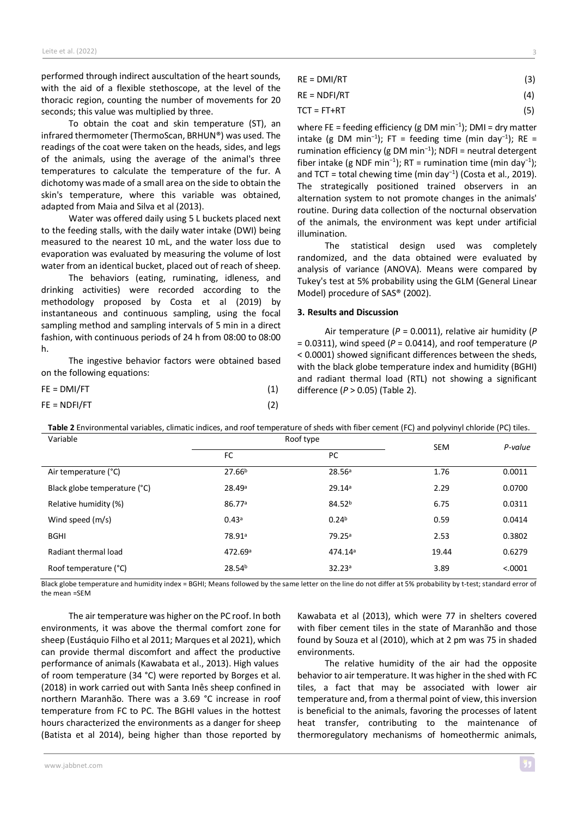performed through indirect auscultation of the heart sounds, with the aid of a flexible stethoscope, at the level of the thoracic region, counting the number of movements for 20 seconds; this value was multiplied by three.

To obtain the coat and skin temperature (ST), an infrared thermometer (ThermoScan, BRHUN®) was used. The readings of the coat were taken on the heads, sides, and legs of the animals, using the average of the animal's three temperatures to calculate the temperature of the fur. A dichotomy wasmade of a small area on the side to obtain the skin's temperature, where this variable was obtained, adapted from Maia and Silva et al (2013).

Water was offered daily using 5 L buckets placed next to the feeding stalls, with the daily water intake (DWI) being measured to the nearest 10 mL, and the water loss due to evaporation was evaluated by measuring the volume of lost water from an identical bucket, placed out of reach of sheep.

The behaviors (eating, ruminating, idleness, and drinking activities) were recorded according to the methodology proposed by Costa et al (2019) by instantaneous and continuous sampling, using the focal sampling method and sampling intervals of 5 min in a direct fashion, with continuous periods of 24 h from 08:00 to 08:00 h.

The ingestive behavior factors were obtained based on the following equations:

| FE = DMI/FT  | (1) |
|--------------|-----|
| FE = NDFI/FT | (2) |

 $RE = DMI/RT$  (3)

 $RE = NDFI/RT$  (4)

$$
TCT = FT + RT
$$
 (5)

where FE = feeding efficiency (g DM min<sup>-1</sup>); DMI = dry matter intake (g DM min<sup>-1</sup>); FT = feeding time (min day<sup>-1</sup>); RE = rumination efficiency (g DM min<sup>−</sup><sup>1</sup> ); NDFI = neutral detergent fiber intake (g NDF min<sup>-1</sup>); RT = rumination time (min day<sup>-1</sup>); and TCT = total chewing time (min day<sup>-1</sup>) (Costa et al., 2019). The strategically positioned trained observers in an alternation system to not promote changes in the animals' routine. During data collection of the nocturnal observation of the animals, the environment was kept under artificial illumination.

The statistical design used was completely randomized, and the data obtained were evaluated by analysis of variance (ANOVA). Means were compared by Tukey's test at 5% probability using the GLM (General Linear Model) procedure of SAS® (2002).

### **3. Results and Discussion**

Air temperature (*P* = 0.0011), relative air humidity (*P* = 0.0311), wind speed (*P* = 0.0414), and roof temperature (*P* < 0.0001) showed significant differences between the sheds, with the black globe temperature index and humidity (BGHI) and radiant thermal load (RTL) not showing a significant difference (*P* > 0.05) (Table 2).

**Table 2** Environmental variables, climatic indices, and roof temperature of sheds with fiber cement (FC) and polyvinyl chloride (PC) tiles.

| Variable                     | Roof type           |                    | <b>SEM</b> | P-value |  |
|------------------------------|---------------------|--------------------|------------|---------|--|
|                              | <b>FC</b>           | PC.                |            |         |  |
| Air temperature (°C)         | 27.66 <sup>b</sup>  | 28.56a             | 1.76       | 0.0011  |  |
| Black globe temperature (°C) | 28.49a              | 29.14a             | 2.29       | 0.0700  |  |
| Relative humidity (%)        | 86.77a              | 84.52 <sup>b</sup> | 6.75       | 0.0311  |  |
| Wind speed (m/s)             | 0.43a               | 0.24 <sup>b</sup>  | 0.59       | 0.0414  |  |
| <b>BGHI</b>                  | 78.91ª              | 79.25 <sup>a</sup> | 2.53       | 0.3802  |  |
| Radiant thermal load         | 472.69 <sup>a</sup> | 474.14ª            | 19.44      | 0.6279  |  |
| Roof temperature (°C)        | 28.54 <sup>b</sup>  | 32.23a             | 3.89       | < .0001 |  |

Black globe temperature and humidity index = BGHI; Means followed by the same letter on the line do not differ at 5% probability by t-test; standard error of the mean =SEM

The air temperature was higher on the PC roof. In both environments, it was above the thermal comfort zone for sheep (Eustáquio Filho et al 2011; Marques et al 2021), which can provide thermal discomfort and affect the productive performance of animals (Kawabata et al., 2013). High values of room temperature (34 °C) were reported by Borges et al. (2018) in work carried out with Santa Inês sheep confined in northern Maranhão. There was a 3.69 °C increase in roof temperature from FC to PC. The BGHI values in the hottest hours characterized the environments as a danger for sheep (Batista et al 2014), being higher than those reported by

Kawabata et al (2013), which were 77 in shelters covered with fiber cement tiles in the state of Maranhão and those found by Souza et al (2010), which at 2 pm was 75 in shaded environments.

The relative humidity of the air had the opposite behavior to air temperature. It was higher in the shed with FC tiles, a fact that may be associated with lower air temperature and, from a thermal point of view, this inversion is beneficial to the animals, favoring the processes of latent heat transfer, contributing to the maintenance of thermoregulatory mechanisms of homeothermic animals,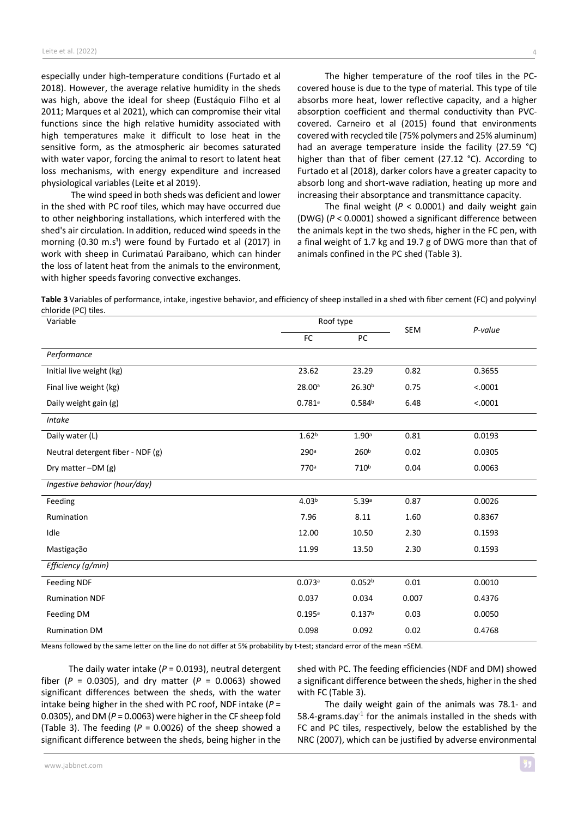especially under high-temperature conditions (Furtado et al 2018). However, the average relative humidity in the sheds was high, above the ideal for sheep (Eustáquio Filho et al 2011; Marques et al 2021), which can compromise their vital functions since the high relative humidity associated with high temperatures make it difficult to lose heat in the sensitive form, as the atmospheric air becomes saturated with water vapor, forcing the animal to resort to latent heat loss mechanisms, with energy expenditure and increased physiological variables (Leite et al 2019).

The wind speed in both sheds was deficient and lower in the shed with PC roof tiles, which may have occurred due to other neighboring installations, which interfered with the shed's air circulation. In addition, reduced wind speeds in the morning  $(0.30 \text{ m.s}^1)$  were found by Furtado et al  $(2017)$  in work with sheep in Curimataú Paraibano, which can hinder the loss of latent heat from the animals to the environment, with higher speeds favoring convective exchanges.

The higher temperature of the roof tiles in the PCcovered house is due to the type of material. This type of tile absorbs more heat, lower reflective capacity, and a higher absorption coefficient and thermal conductivity than PVCcovered. Carneiro et al (2015) found that environments covered with recycled tile (75% polymers and 25% aluminum) had an average temperature inside the facility (27.59 °C) higher than that of fiber cement (27.12 °C). According to Furtado et al (2018), darker colors have a greater capacity to absorb long and short-wave radiation, heating up more and increasing their absorptance and transmittance capacity.

The final weight  $(P < 0.0001)$  and daily weight gain (DWG) (*P* < 0.0001) showed a significant difference between the animals kept in the two sheds, higher in the FC pen, with a final weight of 1.7 kg and 19.7 g of DWG more than that of animals confined in the PC shed (Table 3).

**Table 3** Variables of performance, intake, ingestive behavior, and efficiency of sheep installed in a shed with fiber cement (FC) and polyvinyl chloride (PC) tiles.

| Variable                          | Roof type         |                    | SEM   | P-value |
|-----------------------------------|-------------------|--------------------|-------|---------|
|                                   | FC                | PC                 |       |         |
| Performance                       |                   |                    |       |         |
| Initial live weight (kg)          | 23.62             | 23.29              | 0.82  | 0.3655  |
| Final live weight (kg)            | 28.00a            | 26.30 <sup>b</sup> | 0.75  | < .0001 |
| Daily weight gain (g)             | 0.781a            | 0.584 <sup>b</sup> | 6.48  | < .0001 |
| Intake                            |                   |                    |       |         |
| Daily water (L)                   | 1.62 <sup>b</sup> | 1.90a              | 0.81  | 0.0193  |
| Neutral detergent fiber - NDF (g) | 290 <sup>a</sup>  | 260 <sup>b</sup>   | 0.02  | 0.0305  |
| Dry matter $-DM(g)$               | 770 <sup>a</sup>  | 710 <sup>b</sup>   | 0.04  | 0.0063  |
| Ingestive behavior (hour/day)     |                   |                    |       |         |
| Feeding                           | 4.03 <sup>b</sup> | 5.39a              | 0.87  | 0.0026  |
| Rumination                        | 7.96              | 8.11               | 1.60  | 0.8367  |
| Idle                              | 12.00             | 10.50              | 2.30  | 0.1593  |
| Mastigação                        | 11.99             | 13.50              | 2.30  | 0.1593  |
| Efficiency (g/min)                |                   |                    |       |         |
| <b>Feeding NDF</b>                | 0.073a            | 0.052 <sup>b</sup> | 0.01  | 0.0010  |
| <b>Rumination NDF</b>             | 0.037             | 0.034              | 0.007 | 0.4376  |
| Feeding DM                        | 0.195a            | 0.137 <sup>b</sup> | 0.03  | 0.0050  |
| <b>Rumination DM</b>              | 0.098             | 0.092              | 0.02  | 0.4768  |

Means followed by the same letter on the line do not differ at 5% probability by t-test; standard error of the mean =SEM.

The daily water intake ( $P = 0.0193$ ), neutral detergent fiber (*P* = 0.0305), and dry matter (*P* = 0.0063) showed significant differences between the sheds, with the water intake being higher in the shed with PC roof, NDF intake (*P* = 0.0305), and DM (*P* = 0.0063) were higherin the CF sheep fold (Table 3). The feeding (*P* = 0.0026) of the sheep showed a significant difference between the sheds, being higher in the

shed with PC. The feeding efficiencies (NDF and DM) showed a significant difference between the sheds, higher in the shed with FC (Table 3).

The daily weight gain of the animals was 78.1- and  $58.4$ -grams.day<sup>-1</sup> for the animals installed in the sheds with FC and PC tiles, respectively, below the established by the NRC (2007), which can be justified by adverse environmental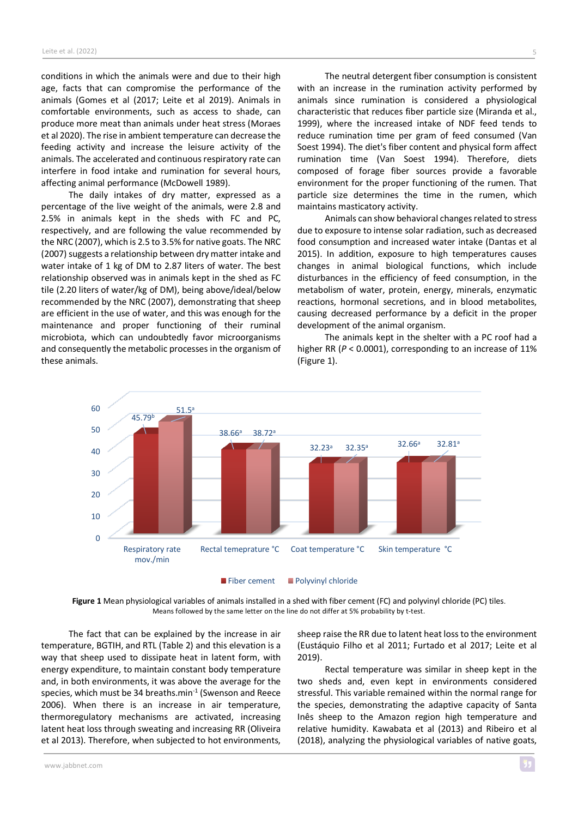conditions in which the animals were and due to their high age, facts that can compromise the performance of the animals (Gomes et al (2017; Leite et al 2019). Animals in comfortable environments, such as access to shade, can produce more meat than animals under heat stress (Moraes et al 2020). The rise in ambient temperature can decrease the feeding activity and increase the leisure activity of the animals. The accelerated and continuous respiratory rate can interfere in food intake and rumination for several hours, affecting animal performance (McDowell 1989).

The daily intakes of dry matter, expressed as a percentage of the live weight of the animals, were 2.8 and 2.5% in animals kept in the sheds with FC and PC, respectively, and are following the value recommended by the NRC (2007), which is 2.5 to 3.5% for native goats. The NRC (2007) suggests a relationship between dry matter intake and water intake of 1 kg of DM to 2.87 liters of water. The best relationship observed was in animals kept in the shed as FC tile (2.20 liters of water/kg of DM), being above/ideal/below recommended by the NRC (2007), demonstrating that sheep are efficient in the use of water, and this was enough for the maintenance and proper functioning of their ruminal microbiota, which can undoubtedly favor microorganisms and consequently the metabolic processes in the organism of these animals.

The neutral detergent fiber consumption is consistent with an increase in the rumination activity performed by animals since rumination is considered a physiological characteristic that reduces fiber particle size (Miranda et al., 1999), where the increased intake of NDF feed tends to reduce rumination time per gram of feed consumed (Van Soest 1994). The diet's fiber content and physical form affect rumination time (Van Soest 1994). Therefore, diets composed of forage fiber sources provide a favorable environment for the proper functioning of the rumen. That particle size determines the time in the rumen, which maintains masticatory activity.

Animals can show behavioral changes related to stress due to exposure to intense solar radiation, such as decreased food consumption and increased water intake (Dantas et al 2015). In addition, exposure to high temperatures causes changes in animal biological functions, which include disturbances in the efficiency of feed consumption, in the metabolism of water, protein, energy, minerals, enzymatic reactions, hormonal secretions, and in blood metabolites, causing decreased performance by a deficit in the proper development of the animal organism.

The animals kept in the shelter with a PC roof had a higher RR ( $P < 0.0001$ ), corresponding to an increase of 11% (Figure 1).



**Figure 1** Mean physiological variables of animals installed in a shed with fiber cement (FC) and polyvinyl chloride (PC) tiles. Means followed by the same letter on the line do not differ at 5% probability by t-test.

The fact that can be explained by the increase in air temperature, BGTIH, and RTL (Table 2) and this elevation is a way that sheep used to dissipate heat in latent form, with energy expenditure, to maintain constant body temperature and, in both environments, it was above the average for the species, which must be 34 breaths.min $1$  (Swenson and Reece 2006). When there is an increase in air temperature, thermoregulatory mechanisms are activated, increasing latent heat loss through sweating and increasing RR (Oliveira et al 2013). Therefore, when subjected to hot environments,

sheep raise the RR due to latent heat lossto the environment (Eustáquio Filho et al 2011; Furtado et al 2017; Leite et al 2019).

Rectal temperature was similar in sheep kept in the two sheds and, even kept in environments considered stressful. This variable remained within the normal range for the species, demonstrating the adaptive capacity of Santa Inês sheep to the Amazon region high temperature and relative humidity. Kawabata et al (2013) and Ribeiro et al (2018), analyzing the physiological variables of native goats,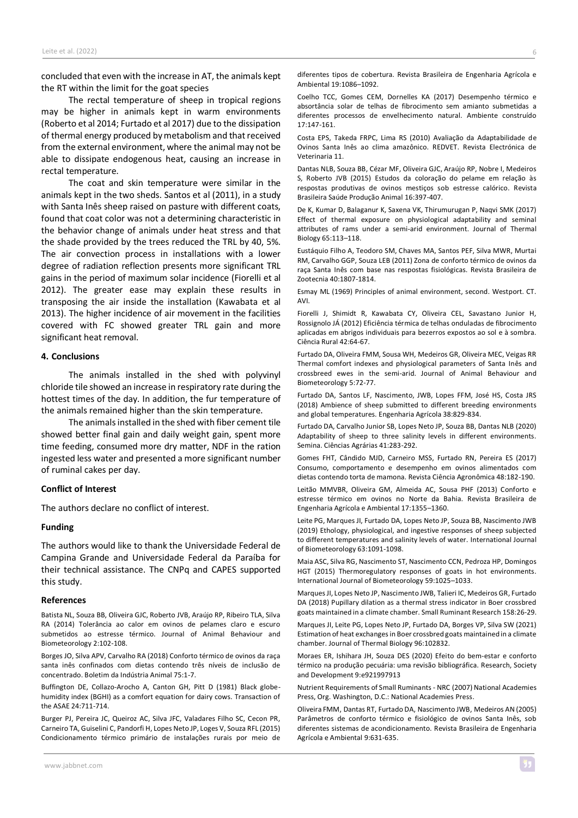concluded that even with the increase in AT, the animals kept the RT within the limit for the goat species

The rectal temperature of sheep in tropical regions may be higher in animals kept in warm environments (Roberto et al 2014; Furtado et al 2017) due to the dissipation of thermal energy produced by metabolism and that received from the external environment, where the animal may not be able to dissipate endogenous heat, causing an increase in rectal temperature.

The coat and skin temperature were similar in the animals kept in the two sheds. Santos et al (2011), in a study with Santa Inês sheep raised on pasture with different coats, found that coat color was not a determining characteristic in the behavior change of animals under heat stress and that the shade provided by the trees reduced the TRL by 40, 5%. The air convection process in installations with a lower degree of radiation reflection presents more significant TRL gains in the period of maximum solar incidence (Fiorelli et al 2012). The greater ease may explain these results in transposing the air inside the installation (Kawabata et al 2013). The higher incidence of air movement in the facilities covered with FC showed greater TRL gain and more significant heat removal.

## **4. Conclusions**

The animals installed in the shed with polyvinyl chloride tile showed an increase in respiratory rate during the hottest times of the day. In addition, the fur temperature of the animals remained higher than the skin temperature.

The animals installed in the shed with fiber cement tile showed better final gain and daily weight gain, spent more time feeding, consumed more dry matter, NDF in the ration ingested less water and presented a more significant number of ruminal cakes per day.

## **Conflict of Interest**

The authors declare no conflict of interest.

#### **Funding**

The authors would like to thank the Universidade Federal de Campina Grande and Universidade Federal da Paraíba for their technical assistance. The CNPq and CAPES supported this study.

#### **References**

Batista NL, Souza BB, Oliveira GJC, Roberto JVB, Araújo RP, Ribeiro TLA, Silva RA (2014) Tolerância ao calor em ovinos de pelames claro e escuro submetidos ao estresse térmico. Journal of Animal Behaviour and Biometeorology 2:102-108.

Borges JO, Silva APV, Carvalho RA (2018) Conforto térmico de ovinos da raça santa inês confinados com dietas contendo três níveis de inclusão de concentrado. Boletim da Indústria Animal 75:1-7.

Buffington DE, Collazo-Arocho A, Canton GH, Pitt D (1981) Black globehumidity index (BGHI) as a comfort equation for dairy cows. Transaction of the ASAE 24:711-714.

Burger PJ, Pereira JC, Queiroz AC, Silva JFC, Valadares Filho SC, Cecon PR, Carneiro TA, Guiselini C, Pandorfi H, Lopes Neto JP, Loges V, Souza RFL (2015) Condicionamento térmico primário de instalações rurais por meio de

Coelho TCC, Gomes CEM, Dornelles KA (2017) Desempenho térmico e absortância solar de telhas de fibrocimento sem amianto submetidas a diferentes processos de envelhecimento natural. Ambiente construído 17:147-161.

Costa EPS, Takeda FRPC, Lima RS (2010) Avaliação da Adaptabilidade de Ovinos Santa Inês ao clima amazônico. REDVET. Revista Electrónica de Veterinaria 11.

Dantas NLB, Souza BB, Cézar MF, Oliveira GJC, Araújo RP, Nobre I, Medeiros S, Roberto JVB (2015) Estudos da coloração do pelame em relação às respostas produtivas de ovinos mestiços sob estresse calórico. Revista Brasileira Saúde Produção Animal 16:397-407.

De K, Kumar D, Balaganur K, Saxena VK, Thirumurugan P, Naqvi SMK (2017) Effect of thermal exposure on physiological adaptability and seminal attributes of rams under a semi-arid environment. Journal of Thermal Biology 65:113–118.

Eustáquio Filho A, Teodoro SM, Chaves MA, Santos PEF, Silva MWR, Murtai RM, Carvalho GGP, Souza LEB (2011) Zona de conforto térmico de ovinos da raça Santa Inês com base nas respostas fisiológicas. Revista Brasileira de Zootecnia 40:1807-1814.

Esmay ML (1969) Principles of animal environment, second. Westport. CT. AVI.

Fiorelli J, Shimidt R, Kawabata CY, Oliveira CEL, Savastano Junior H, Rossignolo JÁ (2012) Eficiência térmica de telhas onduladas de fibrocimento aplicadas em abrigos individuais para bezerros expostos ao sol e à sombra. Ciência Rural 42:64-67.

Furtado DA, Oliveira FMM, Sousa WH, Medeiros GR, Oliveira MEC, Veigas RR Thermal comfort indexes and physiological parameters of Santa Inês and crossbreed ewes in the semi-arid. Journal of Animal Behaviour and Biometeorology 5:72-77.

Furtado DA, Santos LF, Nascimento, JWB, Lopes FFM, José HS, Costa JRS (2018) Ambience of sheep submitted to different breeding environments and global temperatures. Engenharia Agrícola 38:829-834.

Furtado DA, Carvalho Junior SB, Lopes Neto JP, Souza BB, Dantas NLB (2020) Adaptability of sheep to three salinity levels in different environments. Semina. Ciências Agrárias 41:283-292.

Gomes FHT, Cândido MJD, Carneiro MSS, Furtado RN, Pereira ES (2017) Consumo, comportamento e desempenho em ovinos alimentados com dietas contendo torta de mamona. Revista Ciência Agronômica 48:182-190.

Leitão MMVBR, Oliveira GM, Almeida AC, Sousa PHF (2013) Conforto e estresse térmico em ovinos no Norte da Bahia. Revista Brasileira de Engenharia Agrícola e Ambiental 17:1355–1360.

Leite PG, Marques JI, Furtado DA, Lopes Neto JP, Souza BB, Nascimento JWB (2019) Ethology, physiological, and ingestive responses of sheep subjected to different temperatures and salinity levels of water. International Journal of Biometeorology 63:1091-1098.

Maia ASC, Silva RG, Nascimento ST, Nascimento CCN, Pedroza HP, Domingos HGT (2015) Thermoregulatory responses of goats in hot environments. International Journal of Biometeorology 59:1025–1033.

Marques JI, Lopes Neto JP, Nascimento JWB, Talieri IC, Medeiros GR, Furtado DA (2018) Pupillary dilation as a thermal stress indicator in Boer crossbred goats maintained in a climate chamber. Small Ruminant Research 158:26-29.

Marques JI, Leite PG, Lopes Neto JP, Furtado DA, Borges VP, Silva SW (2021) Estimation of heat exchanges in Boer crossbred goats maintained in a climate chamber. Journal of Thermal Biology 96:102832.

Moraes ER, Ishihara JH, Souza DES (2020) Efeito do bem-estar e conforto térmico na produção pecuária: uma revisão bibliográfica. Research, Society and Development 9:e921997913

Nutrient Requirements of Small Ruminants - NRC (2007) National Academies Press, Org. Washington, D.C.: National Academies Press.

Oliveira FMM, Dantas RT, Furtado DA, Nascimento JWB, Medeiros AN (2005) Parâmetros de conforto térmico e fisiológico de ovinos Santa Inês, sob diferentes sistemas de acondicionamento. Revista Brasileira de Engenharia Agrícola e Ambiental 9:631-635.